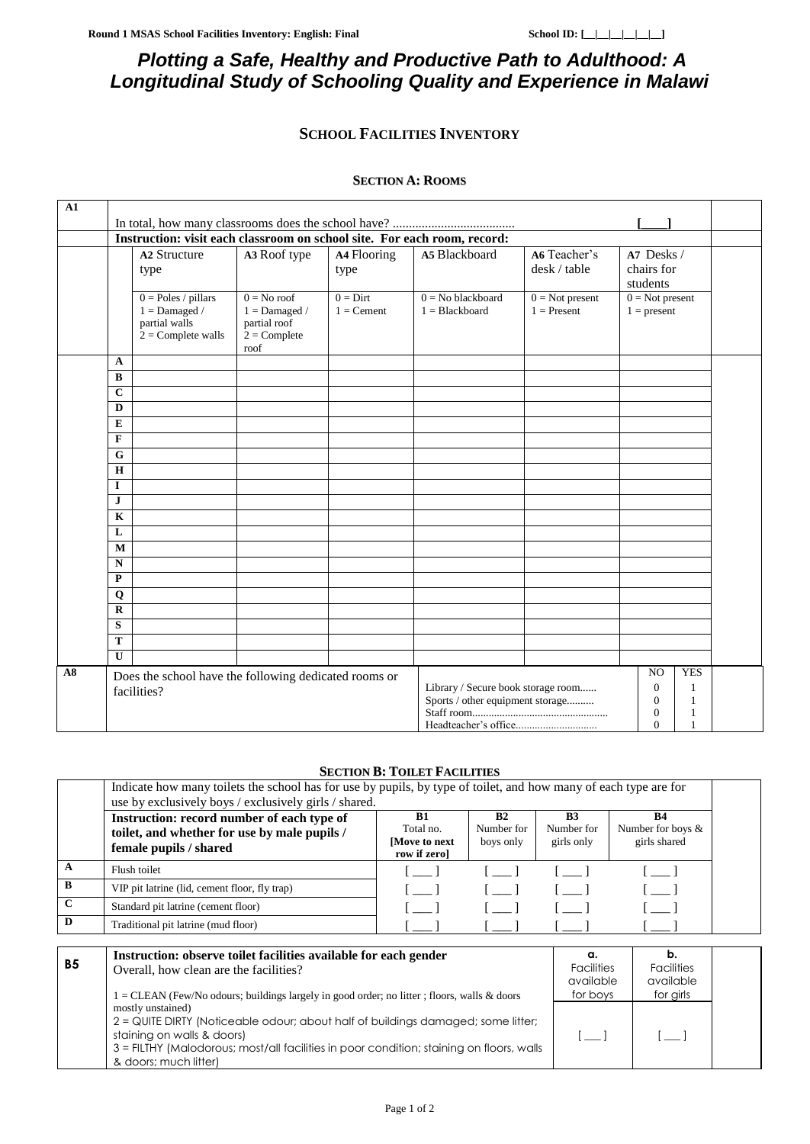$[-]$   $[-]$ 

# *Plotting a Safe, Healthy and Productive Path to Adulthood: A Longitudinal Study of Schooling Quality and Experience in Malawi*

## **SCHOOL FACILITIES INVENTORY**

#### **SECTION A: ROOMS**

| ${\bf A1}$ |                                                                          |                                                                                   |                                                                            |                                                                                                                                |                                         |                                    |                                      |  |
|------------|--------------------------------------------------------------------------|-----------------------------------------------------------------------------------|----------------------------------------------------------------------------|--------------------------------------------------------------------------------------------------------------------------------|-----------------------------------------|------------------------------------|--------------------------------------|--|
|            |                                                                          |                                                                                   |                                                                            |                                                                                                                                |                                         |                                    |                                      |  |
|            | Instruction: visit each classroom on school site. For each room, record: |                                                                                   |                                                                            |                                                                                                                                |                                         |                                    |                                      |  |
|            |                                                                          | <b>A2 Structure</b><br>type                                                       | A3 Roof type                                                               | A4 Flooring<br>type                                                                                                            | A5 Blackboard                           | A6 Teacher's<br>desk / table       | A7 Desks /<br>chairs for<br>students |  |
|            |                                                                          | $0 = Poles / pillars$<br>$1 =$ Damaged /<br>partial walls<br>$2 =$ Complete walls | $0 = No$ roof<br>$1 =$ Damaged /<br>partial roof<br>$2 =$ Complete<br>roof | $0 =$ Dirt<br>$1 =$ Cement                                                                                                     | $0 = No$ blackboard<br>$1 = Blackboard$ | $0 = Not present$<br>$1 =$ Present | $0 = Not present$<br>$1 = present$   |  |
|            | $\mathbf{A}$                                                             |                                                                                   |                                                                            |                                                                                                                                |                                         |                                    |                                      |  |
|            | $\bf{B}$                                                                 |                                                                                   |                                                                            |                                                                                                                                |                                         |                                    |                                      |  |
|            | $\mathbf C$                                                              |                                                                                   |                                                                            |                                                                                                                                |                                         |                                    |                                      |  |
|            | D                                                                        |                                                                                   |                                                                            |                                                                                                                                |                                         |                                    |                                      |  |
|            | E<br>$\mathbf{F}$                                                        |                                                                                   |                                                                            |                                                                                                                                |                                         |                                    |                                      |  |
|            | G                                                                        |                                                                                   |                                                                            |                                                                                                                                |                                         |                                    |                                      |  |
|            | H                                                                        |                                                                                   |                                                                            |                                                                                                                                |                                         |                                    |                                      |  |
|            | I                                                                        |                                                                                   |                                                                            |                                                                                                                                |                                         |                                    |                                      |  |
|            | J                                                                        |                                                                                   |                                                                            |                                                                                                                                |                                         |                                    |                                      |  |
|            | $\mathbf{K}$                                                             |                                                                                   |                                                                            |                                                                                                                                |                                         |                                    |                                      |  |
|            | L                                                                        |                                                                                   |                                                                            |                                                                                                                                |                                         |                                    |                                      |  |
|            | M                                                                        |                                                                                   |                                                                            |                                                                                                                                |                                         |                                    |                                      |  |
|            | $\mathbf N$                                                              |                                                                                   |                                                                            |                                                                                                                                |                                         |                                    |                                      |  |
|            | P                                                                        |                                                                                   |                                                                            |                                                                                                                                |                                         |                                    |                                      |  |
|            | $\mathbf Q$                                                              |                                                                                   |                                                                            |                                                                                                                                |                                         |                                    |                                      |  |
|            | $\mathbf R$                                                              |                                                                                   |                                                                            |                                                                                                                                |                                         |                                    |                                      |  |
|            | S<br>T                                                                   |                                                                                   |                                                                            |                                                                                                                                |                                         |                                    |                                      |  |
|            | $\mathbf{U}$                                                             |                                                                                   |                                                                            |                                                                                                                                |                                         |                                    |                                      |  |
| A8         |                                                                          |                                                                                   |                                                                            |                                                                                                                                |                                         |                                    | <b>YES</b><br>N <sub>O</sub>         |  |
|            |                                                                          | Does the school have the following dedicated rooms or<br>facilities?              |                                                                            | Library / Secure book storage room<br>$\Omega$<br>Sports / other equipment storage<br>$\mathbf{0}$<br>$\mathbf{0}$<br>$\Omega$ |                                         | 1<br>1<br>1<br>1                   |                                      |  |

#### **SECTION B: TOILET FACILITIES**

|              | Indicate how many toilets the school has for use by pupils, by type of toilet, and how many of each type are for<br>use by exclusively boys / exclusively girls / shared.                                                              |                                                  |                               |                                            |                                                |
|--------------|----------------------------------------------------------------------------------------------------------------------------------------------------------------------------------------------------------------------------------------|--------------------------------------------------|-------------------------------|--------------------------------------------|------------------------------------------------|
|              | Instruction: record number of each type of<br>toilet, and whether for use by male pupils /<br>female pupils / shared                                                                                                                   | B1<br>Total no.<br>[Move to next<br>row if zero] | B2<br>Number for<br>boys only | B <sub>3</sub><br>Number for<br>girls only | <b>B4</b><br>Number for boys &<br>girls shared |
| $\mathbf A$  | Flush toilet                                                                                                                                                                                                                           | $\mathbf{1}$                                     |                               |                                            | <b>Contract</b>                                |
| B            | VIP pit latrine (lid, cement floor, fly trap)                                                                                                                                                                                          | $\begin{bmatrix} 1 & 1 \end{bmatrix}$            | . 1                           |                                            | in a sh                                        |
| $\mathbf{C}$ | Standard pit latrine (cement floor)                                                                                                                                                                                                    | $\begin{bmatrix} 1 & 1 \end{bmatrix}$            |                               |                                            |                                                |
| D            | Traditional pit latrine (mud floor)                                                                                                                                                                                                    |                                                  |                               |                                            |                                                |
|              |                                                                                                                                                                                                                                        |                                                  |                               |                                            |                                                |
| <b>B5</b>    | Instruction: observe toilet facilities available for each gender<br>Overall, how clean are the facilities?                                                                                                                             |                                                  |                               | α.<br><b>Facilities</b><br>available       | b.<br><b>Facilities</b><br>available           |
|              | for girls<br>for boys<br>$1 = \text{CLEAN}$ (Few/No odours; buildings largely in good order; no litter; floors, walls & doors<br>mostly unstained)<br>2 = QUITE DIRTY (Noticeable odour; about half of buildings damaged; some litter; |                                                  |                               |                                            |                                                |

3 = FILTHY (Malodorous; most/all facilities in poor condition; staining on floors, walls

staining on walls & doors)

& doors; much litter)